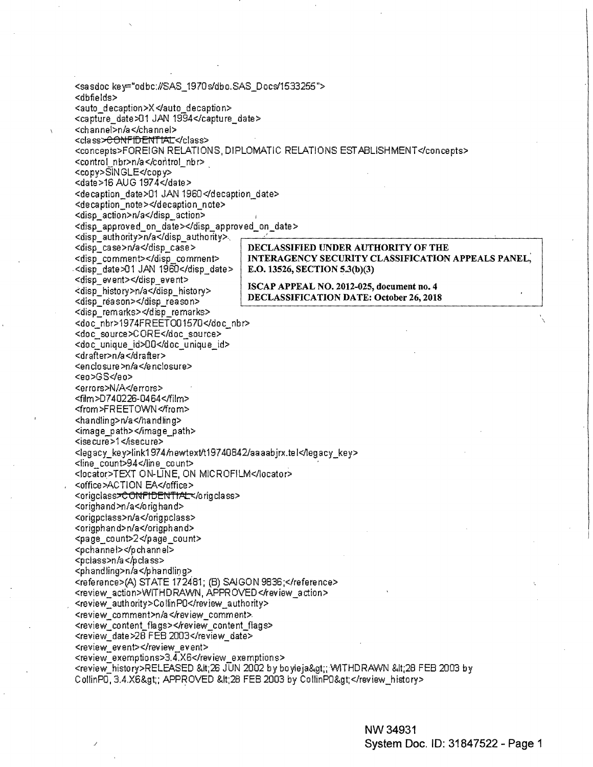<sasdoc key="odbc:#SAS\_1970s/dbo.SAS\_Docs/1533255"> <dbfields> <auto decaption>X</auto decaption> <capture\_date>01 JAN 1994</capture\_date> <channel>n/a</channel> <class><del>>CONFIDENTIAL</</del>class> <concepts>FOREIGN RELATIONS, DIPLOMATIC RELATIONS ESTABLISHMENT</concepts> <control nbr>n/a</control nbr> <copy>SINGLE</copy> <date>16 AUG 1974</date> <decaption\_date>01 JAN 1960</decaption\_date> <decaption note></decaption note> <disp\_action>n/a</disp\_action> <disp approved on date></disp approved on date> <disp\_authority>n/a</disp\_authority>. <disp case>n/a</disp case> DECLASSIFIED UNDER AUTHORITY OF THE <disp comment></disp comment> **INTERAGENCY SECURITY CLASSIFICATION APPEALS PANEL.** <disp date>01 JAN 1960</disp date> E.O. 13526, SECTION 5.3(b)(3) <disp\_event></disp\_event> ISCAP APPEAL NO. 2012-025, document no. 4 <disp history>n/a</disp history> DECLASSIFICATION DATE: October 26, 2018 <disp\_reason></disp\_reason> <disp\_remarks></disp\_remarks> <doc\_nbr>1974FREETO01570</doc\_nbr> <doc\_source>CORE</doc\_source> <doc\_unique\_id>00</doc\_unique\_id> <drafter>n/a</drafter> <enclosure>n/a</enclosure> <eo>GS</eo> <errors>N/A</errors> <film>D740226-0464</film> <from>FREETOWN</from> <handling>n/a</handling> <image\_path></image\_path> <isecure>1</isecure> <legacy\_key>link1974/newtext/t19740842/aaaabjrx.tel</legacy\_key> <line count>94</line count> <locator>TEXT ON-LINE, ON MICROFILM</locator> <office>ACTION EA</office> <origclass><del>CONFIDENTIAL</del></origclass> <orighand>n/a</orighand> <origpclass>n/a</origpclass> <origphand>n/a</origphand> <page\_count>2</page\_count> <pchannel></pchannel> <pclass>n/a</pclass> <phandling>n/a</phandling> <reference>(A) STATE 172481; (B) SAIGON 9836;</reference> <review action>WITHDRAWN, APPROVED</review action> <review\_authority>CollinPO</review\_authority> <review\_comment>n/a</review\_comment> <review content flags></review content flags> <review\_date>28 FEB 2003</review\_date> <review event></review event> <review exemptions>3.4.X6</review exemptions> <review\_history>RELEASED &lt;26 JUN 2002 by boyleja&gt;; WITHDRAWN &lt;28 FEB 2003 by CollinP0, 3.4.X6>; APPROVED <28 FEB 2003 by CollinP0&gt;</review\_history>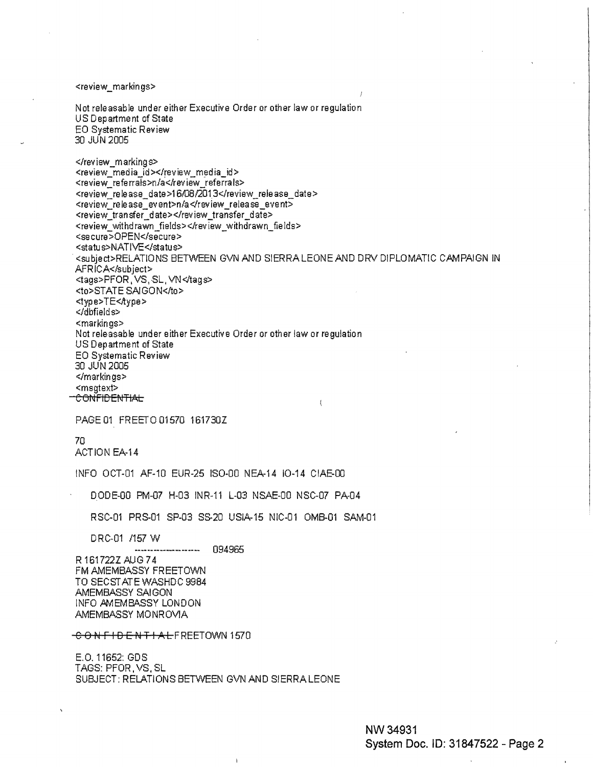<review\_markings>

Not releasable under either Executive Order or other law or regulation US Department of State EO Systematic Review 30 JUN 2005

</review\_markings> <review\_media\_id></review\_media\_id> <review\_referrals>n/a</review\_referrals> <review\_release\_date>16/08/2013</review\_release\_date> <review\_release\_event>n/a</review\_release\_event> <review\_tran sfer\_date></review\_transfer\_date> <review withdrawn fields></review withdrawn fields> <secure>OPEN</secure> <status>NATIVE</status> .<subject>RELATIONS BETWEEN GVN AND SIERRA LEONE AND DRV DIPLOMATIC CAMPAIGN IN AFRICA</subject> <tags>PFOR, VS, SL, VN</tags> <to>STATE SAIGON</to> <type>TE<Aype> </dbfields> <markings> Not releasable under either Executive Order or other law or regulation US Department of State EO Systematic Review 30 JUN 2005 </markings> <msgtext> **CONFIDENTIAL**  $\mathfrak{c}$ 

PAGE01 FREET001570 161730Z

70 ACTION EA-14

INFO OCT-01 AF-10 EUR-25 IS0-00 NEA-14 10-14 CIAE-00

DODE-00 PM-07 H-03 INR-11 L-03 NSAE-00 NSC-07 PA-04

RSC-01 PRS-01 SP-03 SS-20 USIA-15 NIC-01 OMB-01 SAM-01

DRC-01 /157 W

094965 ----------------------

R 161722Z AUG 7 4 FM AMEMBASSY FREETOWN TO SEC ST ATE WASHDC 9984 AMEMBASSY SAi GON INFO AMEMBASSY LONDON AMEMBASSY MONROVIA

C 0 N F I D **E** N T l **AL** FREETOWN 1570

E.O. 11652: GOS TAGS: PFOR,VS,SL SUBJECT: RELATIONS BETWEEN GVN AND SIERRA LEONE

 $\mathbf{I}$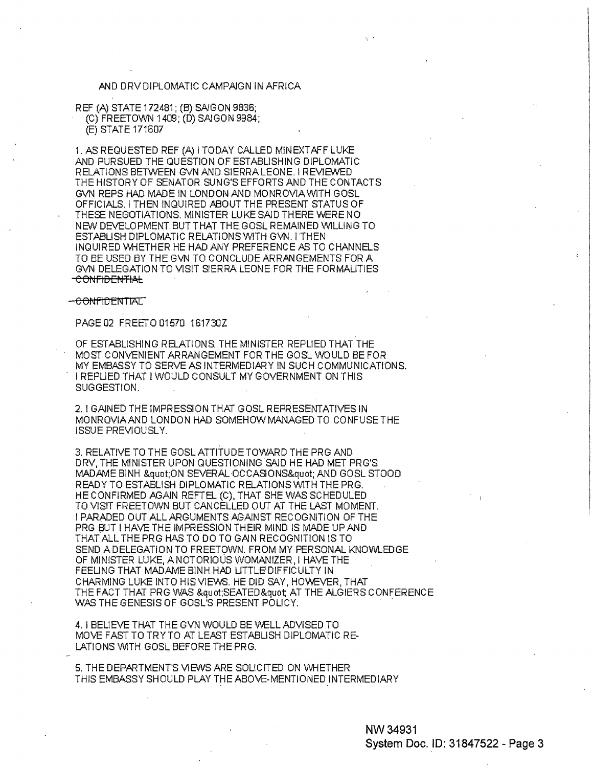## AND DRV DIPLOMATIC CAMPAIGN IN AFRICA

REF (A) STATE 172481; (B) SAIGON 9836; (C) FREETOWN 1409; (D) SAIGON 9984; (E) STATE 171607

1. AS REQUESTED REF (A) I TODAY CALLED MIN EXTAFF LUKE AND PURSUED THE QUESTION OF ESTABLISHING DIPLOMATIC RELATIONS BETWEEN GVN AND SIERRA LEONE. I REVIEWED THE HISTORY OF SENATOR SUNG'S EFFORTS AND THE CONTACTS GVN REPS HAD MADE IN LONDON AND MONROVIA WITH GOSL OFFICIALS. I THEN INQUIRED ABOUT THE PRESENT STATUS OF THESE NEGOTIATIONS. MINISTER LUKE SAID THERE WERE NO NEW DEVELOPMENT BUT THAT THE GOSL REMAINED WILLING TO ESTABLISH DIPLOMATIC RELATIONS WITH GVN. I THEN INQUIRED WHETHER HE HAD ANY PREFERENCE AS TO CHANNELS TO BE USED BY THE GVN TO CONCLUDE ARRANGEMENTS FOR A GVN DELEGATION TO VISIT SIERRA LEONE FOR THE FORMALITIES <del>CONFIDENTIAL</del>

## -CONFIDENTIAL

## PAGE 02 FREETO 01570 161730Z

OF ESTABLISHING RELATIONS. THE MINISTER REPLIED THAT THE MOST CONVENIENT ARRANGEMENT FOR THE GOSL WOULD BE FOR MY EMBASSY TO SERVE AS INTERMEDIARY IN SUCH COMMUNICATIONS. I REPLIED THAT I WOULD CONSULT MY GOVERNMENT ON THIS SUGGESTION.

2. I GAINED THE IMPRESSION THAT GOSL REPRESENTATIVES IN MONROVIAAND LONDON HAD SOMEHOW MANAGED TO CONFUSE THE ISSUE PREVIOUSLY.

3. RELATIVE TO THE GOSL ATTITUDE TOWARD THE PRG AND DRV. THE MINISTER UPON QUESTIONING SAID HE HAD MET PRG'S MAD.AME BINH &quat;ON SEVERAL·OCCASIONS&quat; AND GOSL STOOD READY TO ESTABLISH DIPLOMATIC RELATIONS WITH THE PRG. HE CONFIRMED AGAIN REFTEL (C), THAT SHE WAS SCHEDULED TO VISIT FREETOWN BUT CANCELLED OUT AT THE LAST MOMENT. I PARADED OUT ALL ARGUMENTS AGAINST RECOGNITION OF THE PRG BUT I HAVE THE IMPRESSION THEIR MIND IS MADE UP AND THAT ALL THE PRG HAS TO DO TO GAIN RECOGNITION IS TO SEND A DELEGATION TO FREETOWN. FROM MY PERSONAL KNOWLEDGE OF MINISTER LUKE, A NOTORIOUS WOMANIZER, I HAVE THE FEELING THAT MADAME BINH HAD LITTLE<sup>1</sup> DIFFICULTY IN CHARMING LUKE INTO HISVIEWS. HE DID SAY, HOWEVER, THAT THE FACT THAT PRG WAS &quat;SEATED&quat; AT THE ALGIERS CONFERENCE WAS THE GENESIS OF GOSL'S PRESENT POLICY.

4. I BELIEVE THAT THE GVN WOULD BE WELL ADVISED TO MOVE FAST TO TRY TO AT LEAST ESTABLISH DIPLOMATIC RE-LATIONS WITH GOSL BEFORE THE PRG.

5. THE DEPARTMENT'S VIEWS ARE SOLICITED ON WHETHER THIS EMBASSY SHOULD PLAY THE ABOVE-MENTIONED INTERMEDIARY